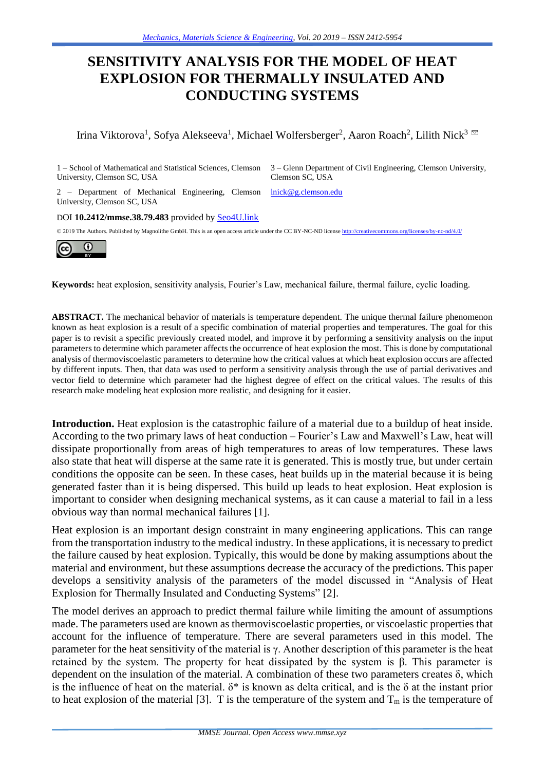# **SENSITIVITY ANALYSIS FOR THE MODEL OF HEAT EXPLOSION FOR THERMALLY INSULATED AND CONDUCTING SYSTEMS**

Irina Viktorova<sup>1</sup>, Sofya Alekseeva<sup>1</sup>, Michael Wolfersberger<sup>2</sup>, Aaron Roach<sup>2</sup>, Lilith Nick<sup>3</sup>

University, Clemson SC, USA

1 – School of Mathematical and Statistical Sciences, Clemson 3 – Glenn Department of Civil Engineering, Clemson University, Clemson SC, USA

2 - Department of Mechanical Engineering, Clemson *Inick@g.clemson.edu* University, Clemson SC, USA

DOI **10.2412/mmse.38.79.483** provided by [Seo4U.link](http://seo4u.link/)

© 2019 The Authors. Published by Magnolithe GmbH. This is an open access article under the CC BY-NC-ND licens[e http://creativecommons.org/licenses/by-nc-nd/4.0/](http://creativecommons.org/licenses/by-nc-nd/4.0/)



**Keywords:** heat explosion, sensitivity analysis, Fourier's Law, mechanical failure, thermal failure, cyclic loading.

**ABSTRACT.** The mechanical behavior of materials is temperature dependent. The unique thermal failure phenomenon known as heat explosion is a result of a specific combination of material properties and temperatures. The goal for this paper is to revisit a specific previously created model, and improve it by performing a sensitivity analysis on the input parameters to determine which parameter affects the occurrence of heat explosion the most. This is done by computational analysis of thermoviscoelastic parameters to determine how the critical values at which heat explosion occurs are affected by different inputs. Then, that data was used to perform a sensitivity analysis through the use of partial derivatives and vector field to determine which parameter had the highest degree of effect on the critical values. The results of this research make modeling heat explosion more realistic, and designing for it easier.

**Introduction.** Heat explosion is the catastrophic failure of a material due to a buildup of heat inside. According to the two primary laws of heat conduction – Fourier's Law and Maxwell's Law, heat will dissipate proportionally from areas of high temperatures to areas of low temperatures. These laws also state that heat will disperse at the same rate it is generated. This is mostly true, but under certain conditions the opposite can be seen. In these cases, heat builds up in the material because it is being generated faster than it is being dispersed. This build up leads to heat explosion. Heat explosion is important to consider when designing mechanical systems, as it can cause a material to fail in a less obvious way than normal mechanical failures [1].

Heat explosion is an important design constraint in many engineering applications. This can range from the transportation industry to the medical industry. In these applications, it is necessary to predict the failure caused by heat explosion. Typically, this would be done by making assumptions about the material and environment, but these assumptions decrease the accuracy of the predictions. This paper develops a sensitivity analysis of the parameters of the model discussed in "Analysis of Heat Explosion for Thermally Insulated and Conducting Systems" [2].

The model derives an approach to predict thermal failure while limiting the amount of assumptions made. The parameters used are known as thermoviscoelastic properties, or viscoelastic properties that account for the influence of temperature. There are several parameters used in this model. The parameter for the heat sensitivity of the material is  $\gamma$ . Another description of this parameter is the heat retained by the system. The property for heat dissipated by the system is β. This parameter is dependent on the insulation of the material. A combination of these two parameters creates δ, which is the influence of heat on the material.  $\delta^*$  is known as delta critical, and is the  $\delta$  at the instant prior to heat explosion of the material [3]. T is the temperature of the system and  $T_m$  is the temperature of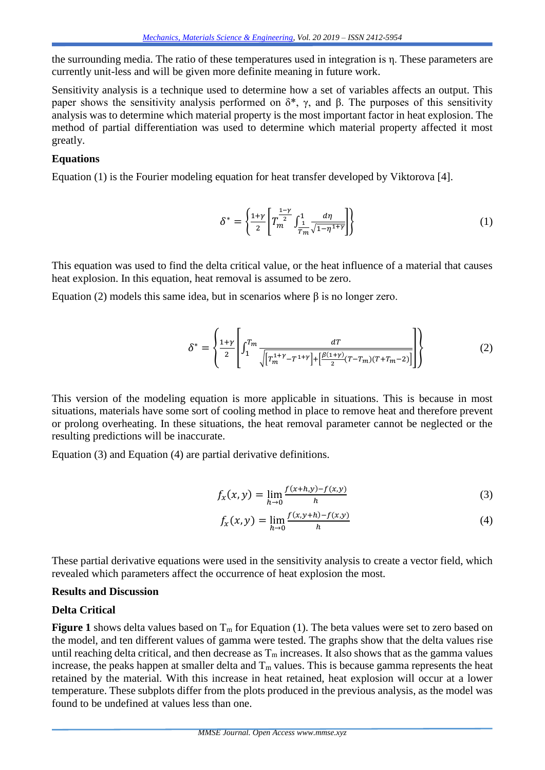the surrounding media. The ratio of these temperatures used in integration is η. These parameters are currently unit-less and will be given more definite meaning in future work.

Sensitivity analysis is a technique used to determine how a set of variables affects an output. This paper shows the sensitivity analysis performed on  $δ^*$ , γ, and β. The purposes of this sensitivity analysis was to determine which material property is the most important factor in heat explosion. The method of partial differentiation was used to determine which material property affected it most greatly.

## **Equations**

Equation (1) is the Fourier modeling equation for heat transfer developed by Viktorova [4].

$$
\delta^* = \left\{ \frac{1+\gamma}{2} \left[ T_m^{\frac{1-\gamma}{2}} \int_{\frac{1}{T_m}}^1 \frac{d\eta}{\sqrt{1-\eta^{1+\gamma}}} \right] \right\} \tag{1}
$$

This equation was used to find the delta critical value, or the heat influence of a material that causes heat explosion. In this equation, heat removal is assumed to be zero.

Equation (2) models this same idea, but in scenarios where β is no longer zero.

$$
\delta^* = \left\{ \frac{1+\gamma}{2} \left[ \int_1^{T_m} \frac{dT}{\sqrt{\left[ T_m^{1+\gamma} - T^{1+\gamma} \right] + \left[ \frac{\beta(1+\gamma)}{2} (T - T_m)(T + T_m - 2) \right]}} \right] \right\}
$$
(2)

This version of the modeling equation is more applicable in situations. This is because in most situations, materials have some sort of cooling method in place to remove heat and therefore prevent or prolong overheating. In these situations, the heat removal parameter cannot be neglected or the resulting predictions will be inaccurate.

Equation (3) and Equation (4) are partial derivative definitions.

$$
f_x(x, y) = \lim_{h \to 0} \frac{f(x+h, y) - f(x, y)}{h}
$$
 (3)

$$
f_x(x, y) = \lim_{h \to 0} \frac{f(x, y+h) - f(x, y)}{h}
$$
 (4)

These partial derivative equations were used in the sensitivity analysis to create a vector field, which revealed which parameters affect the occurrence of heat explosion the most.

### **Results and Discussion**

# **Delta Critical**

**Figure 1** shows delta values based on  $T_m$  for Equation (1). The beta values were set to zero based on the model, and ten different values of gamma were tested. The graphs show that the delta values rise until reaching delta critical, and then decrease as  $T_m$  increases. It also shows that as the gamma values increase, the peaks happen at smaller delta and  $T_m$  values. This is because gamma represents the heat retained by the material. With this increase in heat retained, heat explosion will occur at a lower temperature. These subplots differ from the plots produced in the previous analysis, as the model was found to be undefined at values less than one.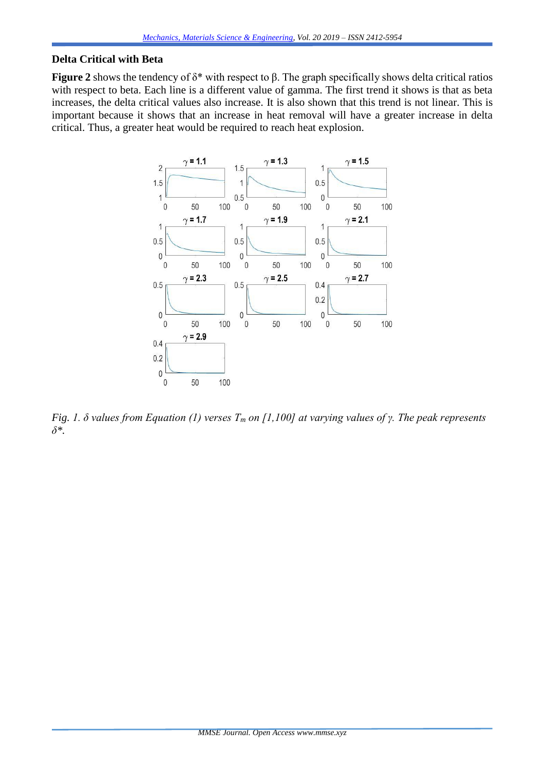# **Delta Critical with Beta**

**Figure 2** shows the tendency of δ\* with respect to β. The graph specifically shows delta critical ratios with respect to beta. Each line is a different value of gamma. The first trend it shows is that as beta increases, the delta critical values also increase. It is also shown that this trend is not linear. This is important because it shows that an increase in heat removal will have a greater increase in delta critical. Thus, a greater heat would be required to reach heat explosion.



*Fig. 1. δ values from Equation (1) verses T<sup>m</sup> on [1,100] at varying values of γ. The peak represents δ\*.*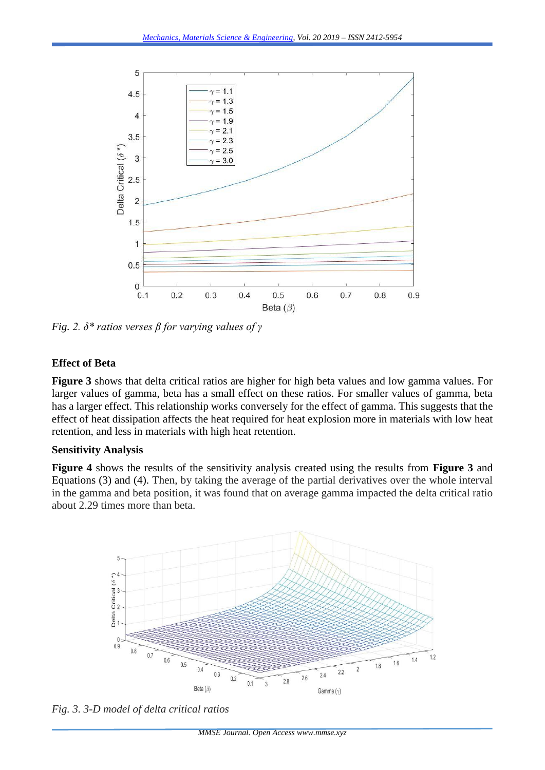

*Fig. 2. δ\* ratios verses β for varying values of γ*

# **Effect of Beta**

**Figure 3** shows that delta critical ratios are higher for high beta values and low gamma values. For larger values of gamma, beta has a small effect on these ratios. For smaller values of gamma, beta has a larger effect. This relationship works conversely for the effect of gamma. This suggests that the effect of heat dissipation affects the heat required for heat explosion more in materials with low heat retention, and less in materials with high heat retention.

### **Sensitivity Analysis**

**Figure 4** shows the results of the sensitivity analysis created using the results from **Figure 3** and Equations (3) and (4). Then, by taking the average of the partial derivatives over the whole interval in the gamma and beta position, it was found that on average gamma impacted the delta critical ratio about 2.29 times more than beta.



*Fig. 3. 3-D model of delta critical ratios*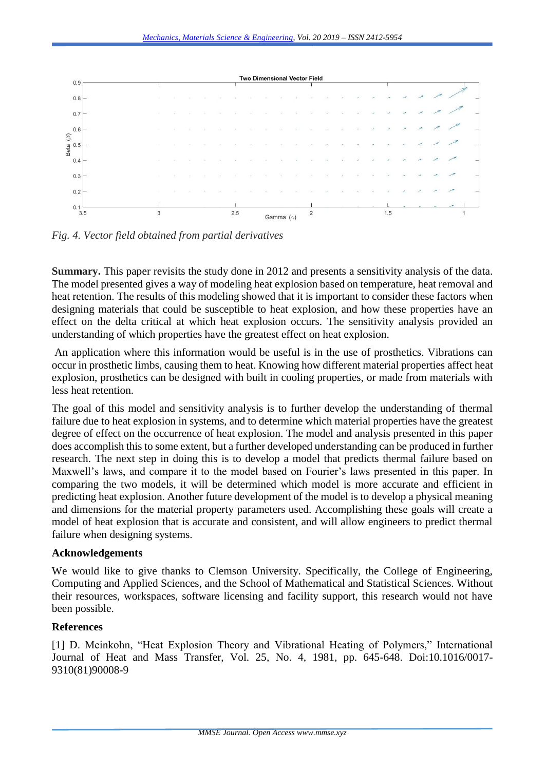

*Fig. 4. Vector field obtained from partial derivatives*

**Summary.** This paper revisits the study done in 2012 and presents a sensitivity analysis of the data. The model presented gives a way of modeling heat explosion based on temperature, heat removal and heat retention. The results of this modeling showed that it is important to consider these factors when designing materials that could be susceptible to heat explosion, and how these properties have an effect on the delta critical at which heat explosion occurs. The sensitivity analysis provided an understanding of which properties have the greatest effect on heat explosion.

An application where this information would be useful is in the use of prosthetics. Vibrations can occur in prosthetic limbs, causing them to heat. Knowing how different material properties affect heat explosion, prosthetics can be designed with built in cooling properties, or made from materials with less heat retention.

The goal of this model and sensitivity analysis is to further develop the understanding of thermal failure due to heat explosion in systems, and to determine which material properties have the greatest degree of effect on the occurrence of heat explosion. The model and analysis presented in this paper does accomplish this to some extent, but a further developed understanding can be produced in further research. The next step in doing this is to develop a model that predicts thermal failure based on Maxwell's laws, and compare it to the model based on Fourier's laws presented in this paper. In comparing the two models, it will be determined which model is more accurate and efficient in predicting heat explosion. Another future development of the model is to develop a physical meaning and dimensions for the material property parameters used. Accomplishing these goals will create a model of heat explosion that is accurate and consistent, and will allow engineers to predict thermal failure when designing systems.

# **Acknowledgements**

We would like to give thanks to Clemson University. Specifically, the College of Engineering, Computing and Applied Sciences, and the School of Mathematical and Statistical Sciences. Without their resources, workspaces, software licensing and facility support, this research would not have been possible.

# **References**

[1] D. Meinkohn, "Heat Explosion Theory and Vibrational Heating of Polymers," International Journal of Heat and Mass Transfer, Vol. 25, No. 4, 1981, pp. 645-648. Doi:10.1016/0017- 9310(81)90008-9